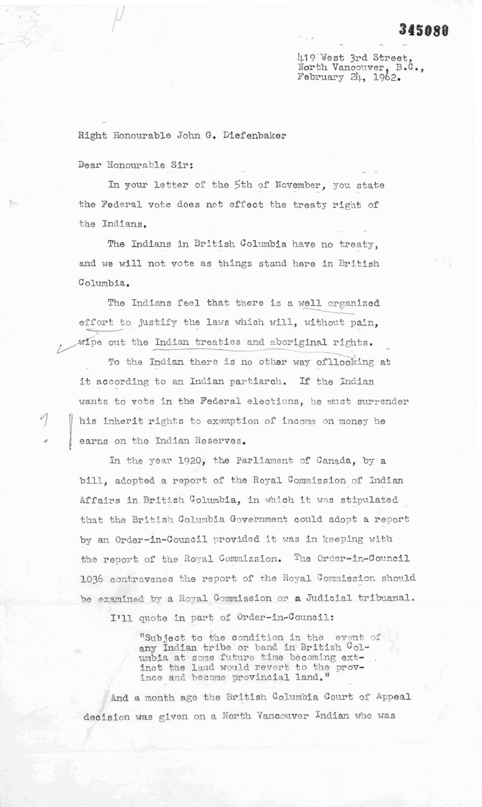## 345080

419 West 3rd Street North Vancouver, B.C., February 24, 1962.

Right Honourable John G. Diefenbaker

Dear Honourable Sir:

In your letter of the 5th of November, you state the Federal vote does not effect the treaty right of the Indians.

The Indians in British Columbia have no treaty. and we will not vote as things stand here in British Columbia.

The Indians feel that there is a well organized effort to justify the laws which will, without pain, wipe out the Indian treaties and aboriginal rights.

To the Indian there is no other way of llooking at it according to an Indian partiarch. If the Indian wants to vote in the Federal elections, he must surrender his inherit rights to exemption of income on money he earns on the Indian Reserves.

In the year 1920, the Parliament of Canada, by a bill, adopted a report of the Royal Commission of Indian Affairs in British Columbia, in which it was stipulated that the British Columbia Government could adopt a report by an Order-in-Council provided it was in keeping with the report of the Royal Commission. The Order-in-Council 1036 contravenes the report of the Royal Commission should be examined by a Royal Commission or a Judicial tribuanal.

I'll quote in part of Order-in-Council:

"Subject to the condition in the event of any Indian tribe or band in British Columbia at some future time becoming ext-<br>inct the land would revert to the prov-<br>ince and become provincial land."

And a month ago the British Columbia Court of Appeal decision was given on a North Vancouver Indian who was